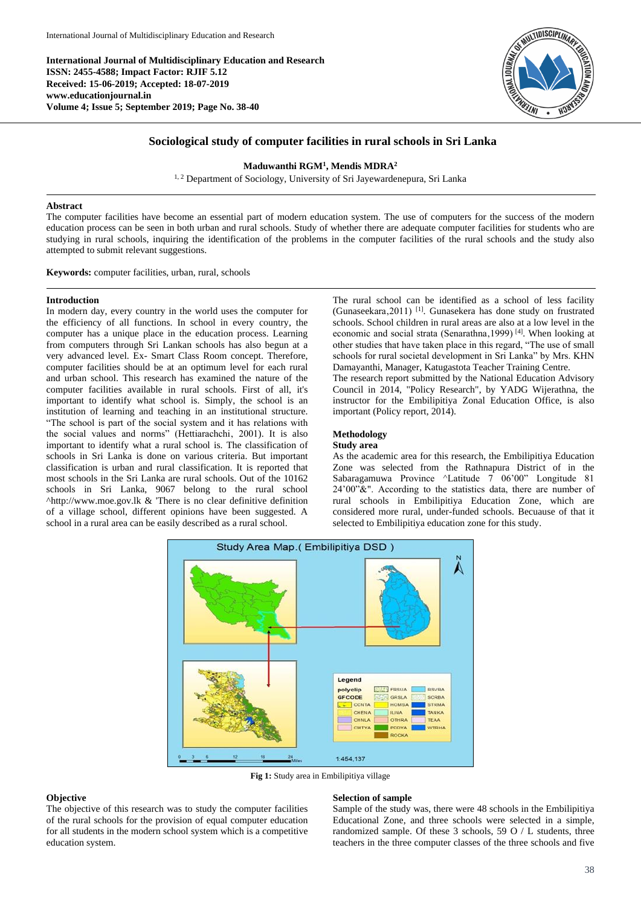**International Journal of Multidisciplinary Education and Research ISSN: 2455-4588; Impact Factor: RJIF 5.12 Received: 15-06-2019; Accepted: 18-07-2019 www.educationjournal.in Volume 4; Issue 5; September 2019; Page No. 38-40**



# **Sociological study of computer facilities in rural schools in Sri Lanka**

#### **Maduwanthi RGM<sup>1</sup> , Mendis MDRA<sup>2</sup>**

<sup>1, 2</sup> Department of Sociology, University of Sri Jayewardenepura, Sri Lanka

### **Abstract**

The computer facilities have become an essential part of modern education system. The use of computers for the success of the modern education process can be seen in both urban and rural schools. Study of whether there are adequate computer facilities for students who are studying in rural schools, inquiring the identification of the problems in the computer facilities of the rural schools and the study also attempted to submit relevant suggestions.

**Keywords:** computer facilities, urban, rural, schools

## **Introduction**

In modern day, every country in the world uses the computer for the efficiency of all functions. In school in every country, the computer has a unique place in the education process. Learning from computers through Sri Lankan schools has also begun at a very advanced level. Ex- Smart Class Room concept. Therefore, computer facilities should be at an optimum level for each rural and urban school. This research has examined the nature of the computer facilities available in rural schools. First of all, it's important to identify what school is. Simply, the school is an institution of learning and teaching in an institutional structure. "The school is part of the social system and it has relations with the social values and norms" (Hettiarachchi, 2001). It is also important to identify what a rural school is. The classification of schools in Sri Lanka is done on various criteria. But important classification is urban and rural classification. It is reported that most schools in the Sri Lanka are rural schools. Out of the 10162 schools in Sri Lanka, 9067 belong to the rural school ^http://www.moe.gov.lk & 'There is no clear definitive definition of a village school, different opinions have been suggested. A school in a rural area can be easily described as a rural school.

The rural school can be identified as a school of less facility (Gunaseekara, 2011) <sup>[1]</sup>. Gunasekera has done study on frustrated schools. School children in rural areas are also at a low level in the economic and social strata (Senarathna, 1999) [4]. When looking at other studies that have taken place in this regard, "The use of small schools for rural societal development in Sri Lanka" by Mrs. KHN Damayanthi, Manager, Katugastota Teacher Training Centre.

The research report submitted by the National Education Advisory Council in 2014, "Policy Research", by YADG Wijerathna, the instructor for the Embilipitiya Zonal Education Office, is also important (Policy report, 2014).

### **Methodology**

#### **Study area**

As the academic area for this research, the Embilipitiya Education Zone was selected from the Rathnapura District of in the Sabaragamuwa Province ^Latitude 7 06'00" Longitude 81 24'00"&". According to the statistics data, there are number of rural schools in Embilipitiya Education Zone, which are considered more rural, under-funded schools. Becuause of that it selected to Embilipitiya education zone for this study.



**Fig 1:** Study area in Embilipitiya village

### **Objective**

The objective of this research was to study the computer facilities of the rural schools for the provision of equal computer education for all students in the modern school system which is a competitive education system.

## **Selection of sample**

Sample of the study was, there were 48 schools in the Embilipitiya Educational Zone, and three schools were selected in a simple, randomized sample. Of these 3 schools, 59 O / L students, three teachers in the three computer classes of the three schools and five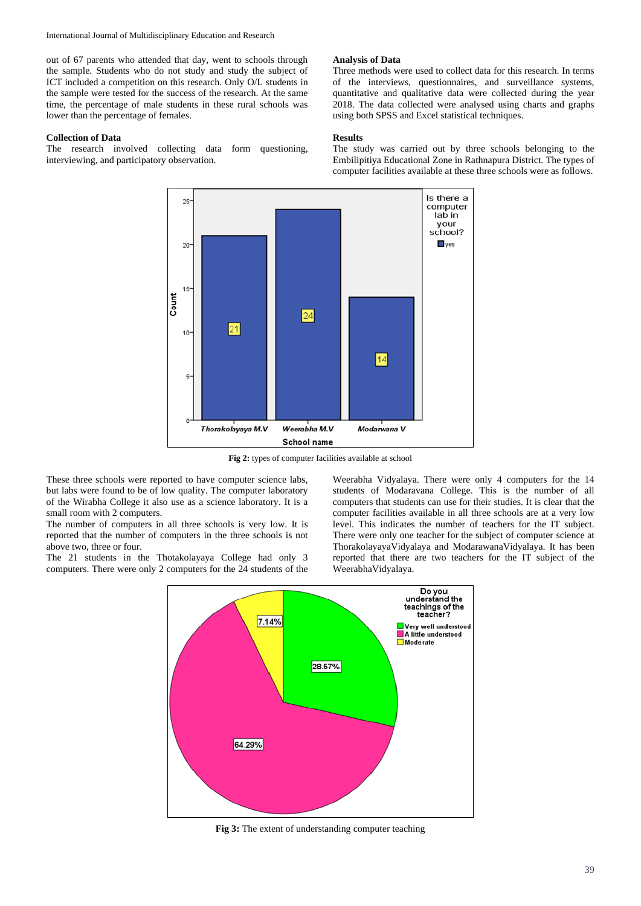International Journal of Multidisciplinary Education and Research

out of 67 parents who attended that day, went to schools through the sample. Students who do not study and study the subject of ICT included a competition on this research. Only O/L students in the sample were tested for the success of the research. At the same time, the percentage of male students in these rural schools was lower than the percentage of females.

#### **Collection of Data**

The research involved collecting data form questioning, interviewing, and participatory observation.

## **Analysis of Data**

Three methods were used to collect data for this research. In terms of the interviews, questionnaires, and surveillance systems, quantitative and qualitative data were collected during the year 2018. The data collected were analysed using charts and graphs using both SPSS and Excel statistical techniques.

## **Results**

The study was carried out by three schools belonging to the Embilipitiya Educational Zone in Rathnapura District. The types of computer facilities available at these three schools were as follows.



**Fig 2:** types of computer facilities available at school

These three schools were reported to have computer science labs, but labs were found to be of low quality. The computer laboratory of the Wirabha College it also use as a science laboratory. It is a small room with 2 computers.

The number of computers in all three schools is very low. It is reported that the number of computers in the three schools is not above two, three or four.

The 21 students in the Thotakolayaya College had only 3 computers. There were only 2 computers for the 24 students of the

Weerabha Vidyalaya. There were only 4 computers for the 14 students of Modaravana College. This is the number of all computers that students can use for their studies. It is clear that the computer facilities available in all three schools are at a very low level. This indicates the number of teachers for the IT subject. There were only one teacher for the subject of computer science at ThorakolayayaVidyalaya and ModarawanaVidyalaya. It has been reported that there are two teachers for the IT subject of the WeerabhaVidyalaya.



**Fig 3:** The extent of understanding computer teaching